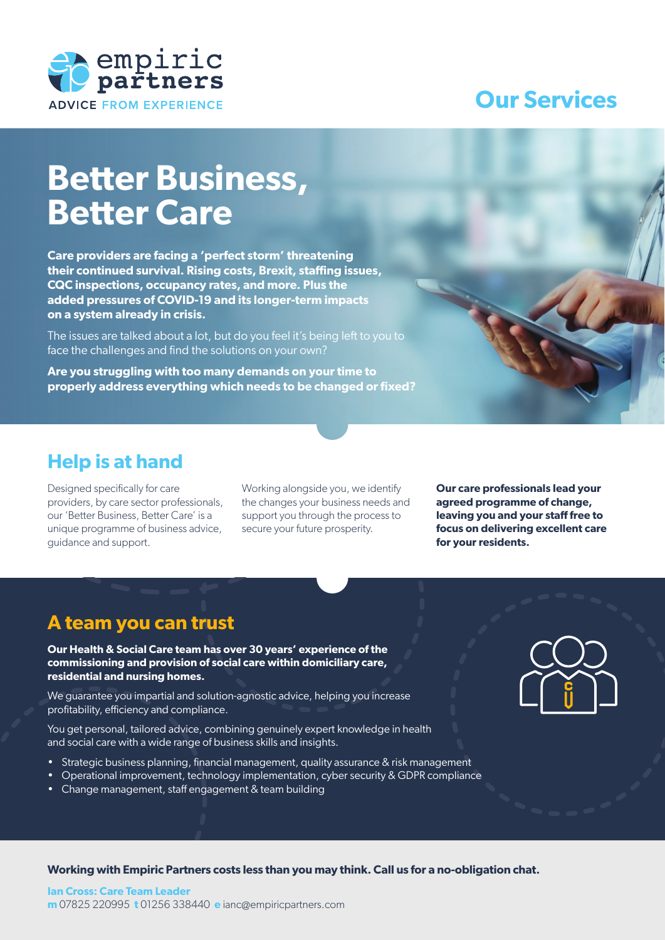

# **Our Services**

# **Better Business, Better Care**

**Care providers are facing a 'perfect storm' threatening their continued survival. Rising costs, Brexit, staffing issues, CQC inspections, occupancy rates, and more. Plus the added pressures of COVID-19 and its longer-term impacts on a system already in crisis.** 

The issues are talked about a lot, but do you feel it's being left to you to face the challenges and find the solutions on your own?

**Are you struggling with too many demands on your time to properly address everything which needs to be changed or fixed?**

### **Help is at hand**

Designed specifically for care providers, by care sector professionals, our 'Better Business, Better Care' is a unique programme of business advice, guidance and support.

Working alongside you, we identify the changes your business needs and support you through the process to secure your future prosperity.

**Our care professionals lead your agreed programme of change, leaving you and your staff free to focus on delivering excellent care for your residents.**

### **A team you can trust**

**Our Health & Social Care team has over 30 years' experience of the commissioning and provision of social care within domiciliary care, residential and nursing homes.**

We guarantee you impartial and solution-agnostic advice, helping you increase profitability, efficiency and compliance.

You get personal, tailored advice, combining genuinely expert knowledge in health and social care with a wide range of business skills and insights.

- Strategic business planning, financial management, quality assurance & risk management
- Operational improvement, technology implementation, cyber security & GDPR compliance
- Change management, staff engagement & team building



**Working with Empiric Partners costs less than you may think. Call us for a no-obligation chat.**